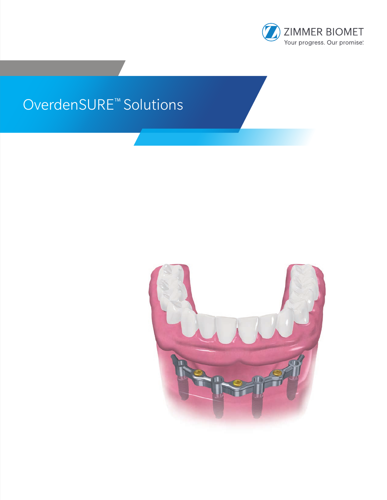

# OverdenSURE™ Solutions

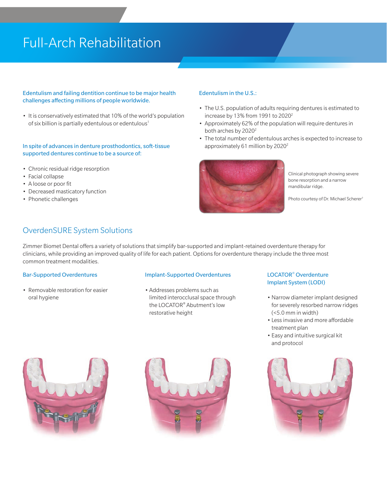## Full-Arch Rehabilitation

#### Edentulism and failing dentition continue to be major health challenges affecting millions of people worldwide.

• It is conservatively estimated that 10% of the world's population of six billion is partially edentulous or edentulous<sup>1</sup>

#### In spite of advances in denture prosthodontics, soft-tissue supported dentures continue to be a source of:

- Chronic residual ridge resorption
- Facial collapse
- A loose or poor fit
- Decreased masticatory function
- Phonetic challenges

#### Edentulism in the U.S.:

- The U.S. population of adults requiring dentures is estimated to increase by 13% from 1991 to 20202
- Approximately 62% of the population will require dentures in both arches by 2020<sup>2</sup>
- The total number of edentulous arches is expected to increase to approximately 61 million by 2020<sup>2</sup>



Clinical photograph showing severe bone resorption and a narrow mandibular ridge.

Photo courtesy of Dr. Michael Scherer†

## OverdenSURE System Solutions

Zimmer Biomet Dental offers a variety of solutions that simplify bar-supported and implant-retained overdenture therapy for clinicians, while providing an improved quality of life for each patient. Options for overdenture therapy include the three most common treatment modalities.

#### Bar-Supported Overdentures

• Removable restoration for easier oral hygiene

#### Implant-Supported Overdentures

• Addresses problems such as limited interocclusal space through the LOCATOR® Abutment's low restorative height

#### LOCATOR® Overdenture Implant System (LODI)

- Narrow diameter implant designed for severely resorbed narrow ridges (<5.0 mm in width)
- Less invasive and more affordable treatment plan
- Easy and intuitive surgical kit and protocol





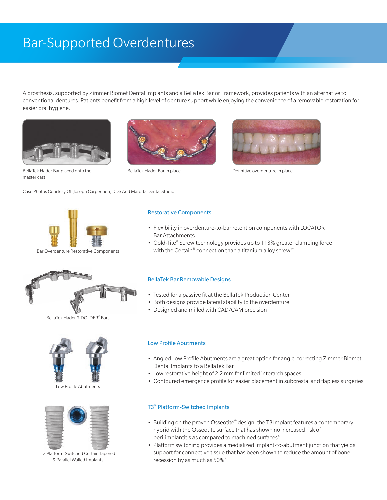## Bar-Supported Overdentures

A prosthesis, supported by Zimmer Biomet Dental Implants and a BellaTek Bar or Framework, provides patients with an alternative to conventional dentures. Patients benefit from a high level of denture support while enjoying the convenience of a removable restoration for easier oral hygiene.





BellaTek Hader Bar in place. Definitive overdenture in place.

BellaTek Hader Bar placed onto the master cast.

Case Photos Courtesy Of: Joseph Carpentieri, DDS And Marotta Dental Studio



Bar Overdenture Restorative Components

#### Restorative Components

- Flexibility in overdenture-to-bar retention components with LOCATOR Bar Attachments
- Gold-Tite® Screw technology provides up to 113% greater clamping force with the Certain® connection than a titanium alloy screw<sup>3\*</sup>



BellaTek Hader & DOLDER® Bars



Low Profile Abutments



T3 Platform-Switched Certain Tapered & Parallel Walled Implants

#### BellaTek Bar Removable Designs

- Tested for a passive fit at the BellaTek Production Center
- Both designs provide lateral stability to the overdenture
- Designed and milled with CAD/CAM precision

#### Low Profile Abutments

- Angled Low Profile Abutments are a great option for angle-correcting Zimmer Biomet Dental Implants to a BellaTek Bar
- Low restorative height of 2.2 mm for limited interarch spaces
- Contoured emergence profile for easier placement in subcrestal and flapless surgeries

#### T3® Platform-Switched Implants

- Building on the proven Osseotite® design, the T3 Implant features a contemporary hybrid with the Osseotite surface that has shown no increased risk of peri-implantitis as compared to machined surfaces<sup>4</sup>
- Platform switching provides a medialized implant-to-abutment junction that yields support for connective tissue that has been shown to reduce the amount of bone recession by as much as 50%<sup>5</sup>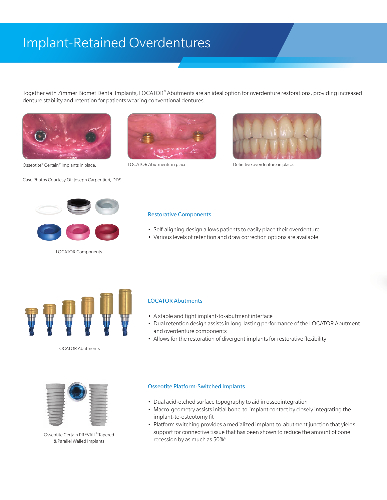## Implant-Retained Overdentures

Together with Zimmer Biomet Dental Implants, LOCATOR® Abutments are an ideal option for overdenture restorations, providing increased denture stability and retention for patients wearing conventional dentures.



Osseotite® Certain® Implants in place. LOCATOR Abutments in place. Definitive overdenture in place.









LOCATOR Components

#### Restorative Components

- Self-aligning design allows patients to easily place their overdenture
- Various levels of retention and draw correction options are available



LOCATOR Abutments

#### LOCATOR Abutments

- A stable and tight implant-to-abutment interface
- Dual retention design assists in long-lasting performance of the LOCATOR Abutment and overdenture components
- Allows for the restoration of divergent implants for restorative flexibility



Osseotite Certain PREVAIL® Tapered & Parallel Walled Implants

#### Osseotite Platform-Switched Implants

- Dual acid-etched surface topography to aid in osseointegration
- Macro-geometry assists initial bone-to-implant contact by closely integrating the implant-to-osteotomy fit
- Platform switching provides a medialized implant-to-abutment junction that yields support for connective tissue that has been shown to reduce the amount of bone recession by as much as 50%<sup>6</sup>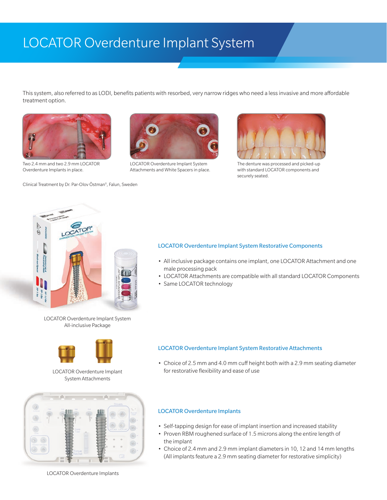## LOCATOR Overdenture Implant System

This system, also referred to as LODI, benefits patients with resorbed, very narrow ridges who need a less invasive and more affordable treatment option.



Two 2.4 mm and two 2.9 mm LOCATOR Overdenture Implants in place.

Clinical Treatment by Dr. Par-Olov Östman† , Falun, Sweden



LOCATOR Overdenture Implant System Attachments and White Spacers in place.



The denture was processed and picked-up with standard LOCATOR components and securely seated.



LOCATOR Overdenture Implant System All-inclusive Package



System Attachments



LOCATOR Overdenture Implants

#### LOCATOR Overdenture Implant System Restorative Components

- All inclusive package contains one implant, one LOCATOR Attachment and one male processing pack
- LOCATOR Attachments are compatible with all standard LOCATOR Components
- Same LOCATOR technology

#### LOCATOR Overdenture Implant System Restorative Attachments

• Choice of 2.5 mm and 4.0 mm cuff height both with a 2.9 mm seating diameter LOCATOR Overdenture Implant for restorative flexibility and ease of use

#### LOCATOR Overdenture Implants

- Self-tapping design for ease of implant insertion and increased stability
- Proven RBM roughened surface of 1.5 microns along the entire length of the implant
- Choice of 2.4 mm and 2.9 mm implant diameters in 10, 12 and 14 mm lengths (All implants feature a 2.9 mm seating diameter for restorative simplicity)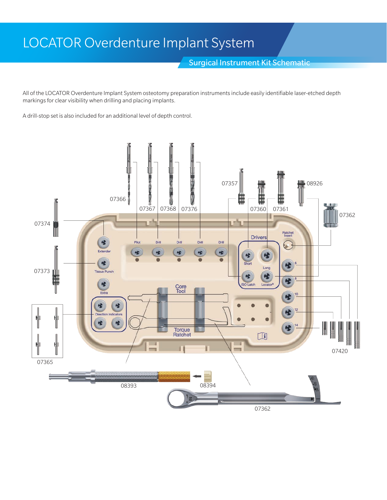## LOCATOR Overdenture Implant System

Surgical Instrument Kit Schematic

All of the LOCATOR Overdenture Implant System osteotomy preparation instruments include easily identifiable laser-etched depth markings for clear visibility when drilling and placing implants.

A drill-stop set is also included for an additional level of depth control.

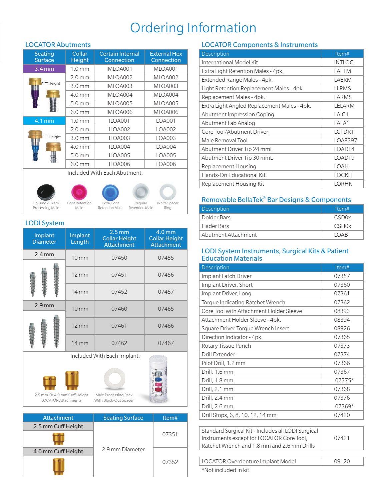## Ordering Information

| <b>Seating</b><br><b>Surface</b> | Collar<br><b>Height</b> | <b>Certain</b> Internal<br>Connection | <b>External Hex</b><br>Connection |
|----------------------------------|-------------------------|---------------------------------------|-----------------------------------|
| $3.4 \,\mathrm{mm}$              | $1.0 \,\mathrm{mm}$     | IMLOA001                              | MLOA001                           |
|                                  | 2.0 <sub>mm</sub>       | IMLOA002                              | MLOA002                           |
| $III$ Height                     | 3.0 <sub>mm</sub>       | IMLOA003                              | MLOA003                           |
|                                  | $4.0 \,\mathrm{mm}$     | IMLOA004                              | MLOA004                           |
|                                  | $5.0 \,\mathrm{mm}$     | IMLOA005                              | MLOA005                           |
|                                  | 6.0 <sub>mm</sub>       | IMLOA006                              | MLOA006                           |
| $4.1 \overline{mm}$              | $1.0 \,\mathrm{mm}$     | ILOA001                               | LOA001                            |
| $III$ Height                     | 2.0 <sub>mm</sub>       | ILOA002                               | LOA002                            |
|                                  | 3.0 <sub>mm</sub>       | ILOA003                               | LOA003                            |
|                                  | $4.0 \,\mathrm{mm}$     | ILOA004                               | LOA004                            |
|                                  | 5.0 <sub>mm</sub>       | ILOA005                               | LOA005                            |
|                                  | 6.0 <sub>mm</sub>       | ILOA006                               | LOA006                            |
|                                  |                         | Included With Each Abutment:          |                                   |
|                                  |                         |                                       |                                   |

### LOCATOR Abutments

Housing & Black



Extra Light Retention Male

White Spacer Ring Regular Retention Male

Processing Male

### LODI System

| LUD 1 U YULU 111           |                     |                                                                |                                                                |
|----------------------------|---------------------|----------------------------------------------------------------|----------------------------------------------------------------|
| Implant<br><b>Diameter</b> | Implant<br>Length   | 2.5 <sub>mm</sub><br><b>Collar Height</b><br><b>Attachment</b> | 4.0 <sub>mm</sub><br><b>Collar Height</b><br><b>Attachment</b> |
| $2.4 \text{ mm}$           | $10 \, \text{mm}$   | 07450                                                          | 07455                                                          |
|                            | $12 \, \mathrm{mm}$ | 07451                                                          | 07456                                                          |
|                            | $14 \,\mathrm{mm}$  | 07452                                                          | 07457                                                          |
| 2.9 <sub>mm</sub>          | $10 \,\mathrm{mm}$  | 07460                                                          | 07465                                                          |
|                            | $12 \, \mathrm{mm}$ | 07461                                                          | 07466                                                          |
|                            | $14 \,\mathrm{mm}$  | 07462                                                          | 07467                                                          |

Included With Each Implant:





2.5 mm Or 4.0 mm Cuff Height LOCATOR Attachments

Male Processing Pack With Block-Out Spacer

| <b>Attachment</b>  | <b>Seating Surface</b> | Item# |
|--------------------|------------------------|-------|
| 2.5 mm Cuff Height |                        |       |
|                    |                        | 07351 |
| 4.0 mm Cuff Height | 2.9 mm Diameter        |       |
|                    |                        | 07352 |

### LOCATOR Components & Instruments

| Description                                 | Item#         |
|---------------------------------------------|---------------|
| <b>International Model Kit</b>              | <b>INTLOC</b> |
| Extra Light Retention Males - 4pk.          | LAELM         |
| Extended Range Males - 4pk.                 | LAERM         |
| Light Retention Replacement Males - 4pk.    | <b>LLRMS</b>  |
| Replacement Males - 4pk.                    | LARMS         |
| Extra Light Angled Replacement Males - 4pk. | LELARM        |
| Abutment Impression Coping                  | LAIC1         |
| Abutment Lab Analog                         | LALA1         |
| Core Tool/Abutment Driver                   | LCTDR1        |
| Male Removal Tool                           | LOA8397       |
| Abutment Driver Tip 24 mmL                  | LOADT4        |
| Abutment Driver Tip 30 mmL                  | LOADT9        |
| Replacement Housing                         | LOAH          |
| Hands-On Educational Kit                    | LOCKIT        |
| Replacement Housing Kit                     | LORHK         |

### Removable BellaTek® Bar Designs & Components

| Description         | Item#             |
|---------------------|-------------------|
| Dolder Bars         | CSD <sub>0x</sub> |
| Hader Bars          | CSH <sub>0x</sub> |
| Abutment Attachment | <b>TOAB</b>       |

### LODI System Instruments, Surgical Kits & Patient Education Materials

| Description                             | Item#  |
|-----------------------------------------|--------|
| Implant Latch Driver                    | 07357  |
| Implant Driver, Short                   | 07360  |
| Implant Driver, Long                    | 07361  |
| Torque Indicating Ratchet Wrench        | 07362  |
| Core Tool with Attachment Holder Sleeve | 08393  |
| Attachment Holder Sleeve - 4pk.         | 08394  |
| Square Driver Torque Wrench Insert      | 08926  |
| Direction Indicator - 4pk.              | 07365  |
| Rotary Tissue Punch                     | 07373  |
| Drill Extender                          | 07374  |
| Pilot Drill, 1.2 mm                     | 07366  |
| Drill, 1.6 mm                           | 07367  |
| Drill, 1.8 mm                           | 07375* |
| Drill, 2.1 mm                           | 07368  |
| Drill, 2.4 mm                           | 07376  |
| Drill, 2.6 mm                           | 07369* |
| Drill Stops, 6, 8, 10, 12, 14 mm        | 07420  |

| Standard Surgical Kit - Includes all LODI Surgical |       |
|----------------------------------------------------|-------|
| Instruments except for LOCATOR Core Tool,          | 07421 |
| Ratchet Wrench and 1.8 mm and 2.6 mm Drills        |       |
|                                                    |       |

| LOCATOR Overdenture Implant Model | 09120 |
|-----------------------------------|-------|
| *Not included in kit.             |       |